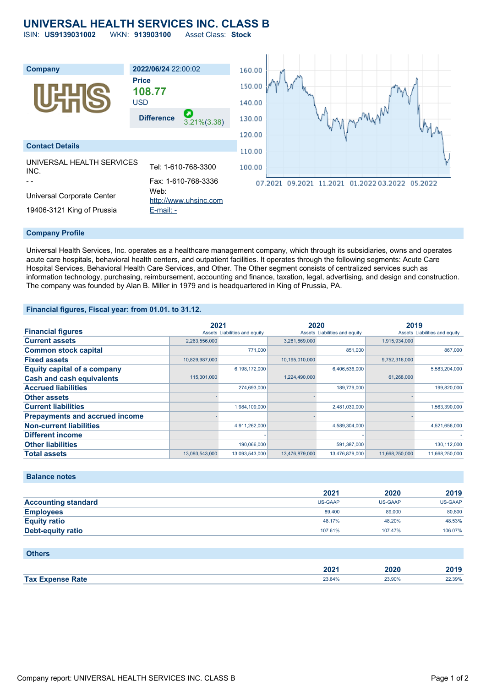# **UNIVERSAL HEALTH SERVICES INC. CLASS B**

ISIN: **US9139031002** WKN: **913903100** Asset Class: **Stock**



#### **Company Profile**

Universal Health Services, Inc. operates as a healthcare management company, which through its subsidiaries, owns and operates acute care hospitals, behavioral health centers, and outpatient facilities. It operates through the following segments: Acute Care Hospital Services, Behavioral Health Care Services, and Other. The Other segment consists of centralized services such as information technology, purchasing, reimbursement, accounting and finance, taxation, legal, advertising, and design and construction. The company was founded by Alan B. Miller in 1979 and is headquartered in King of Prussia, PA.

### **Financial figures, Fiscal year: from 01.01. to 31.12.**

|                                       | 2021           |                               | 2020           |                               | 2019           |                               |
|---------------------------------------|----------------|-------------------------------|----------------|-------------------------------|----------------|-------------------------------|
| <b>Financial figures</b>              |                | Assets Liabilities and equity |                | Assets Liabilities and equity |                | Assets Liabilities and equity |
| <b>Current assets</b>                 | 2,263,556,000  |                               | 3,281,869,000  |                               | 1,915,934,000  |                               |
| <b>Common stock capital</b>           |                | 771.000                       |                | 851,000                       |                | 867.000                       |
| <b>Fixed assets</b>                   | 10,829,987,000 |                               | 10,195,010,000 |                               | 9.752.316.000  |                               |
| <b>Equity capital of a company</b>    |                | 6,198,172,000                 |                | 6,406,536,000                 |                | 5,583,204,000                 |
| <b>Cash and cash equivalents</b>      | 115,301,000    |                               | 1,224,490,000  |                               | 61,268,000     |                               |
| <b>Accrued liabilities</b>            |                | 274,693,000                   |                | 189,779,000                   |                | 199,820,000                   |
| <b>Other assets</b>                   |                |                               |                |                               |                |                               |
| <b>Current liabilities</b>            |                | 1,984,109,000                 |                | 2,481,039,000                 |                | 1,563,390,000                 |
| <b>Prepayments and accrued income</b> |                |                               |                |                               |                |                               |
| <b>Non-current liabilities</b>        |                | 4,911,262,000                 |                | 4,589,304,000                 |                | 4,521,656,000                 |
| <b>Different income</b>               |                |                               |                |                               |                |                               |
| <b>Other liabilities</b>              |                | 190,066,000                   |                | 591,387,000                   |                | 130,112,000                   |
| <b>Total assets</b>                   | 13,093,543,000 | 13,093,543,000                | 13,476,879,000 | 13,476,879,000                | 11,668,250,000 | 11,668,250,000                |

## **Balance notes**

|                            | 2021           | 2020    | 2019    |
|----------------------------|----------------|---------|---------|
| <b>Accounting standard</b> | <b>US-GAAP</b> | US-GAAP | US-GAAP |
| <b>Employees</b>           | 89,400         | 89,000  | 80,800  |
| <b>Equity ratio</b>        | 48.17%         | 48.20%  | 48.53%  |
| <b>Debt-equity ratio</b>   | 107.61%        | 107.47% | 106.07% |

| <b>Others</b>           |        |        |        |
|-------------------------|--------|--------|--------|
|                         | 2021   | 2020   | 2019   |
| <b>Tax Expense Rate</b> | 23.64% | 23.90% | 22.39% |